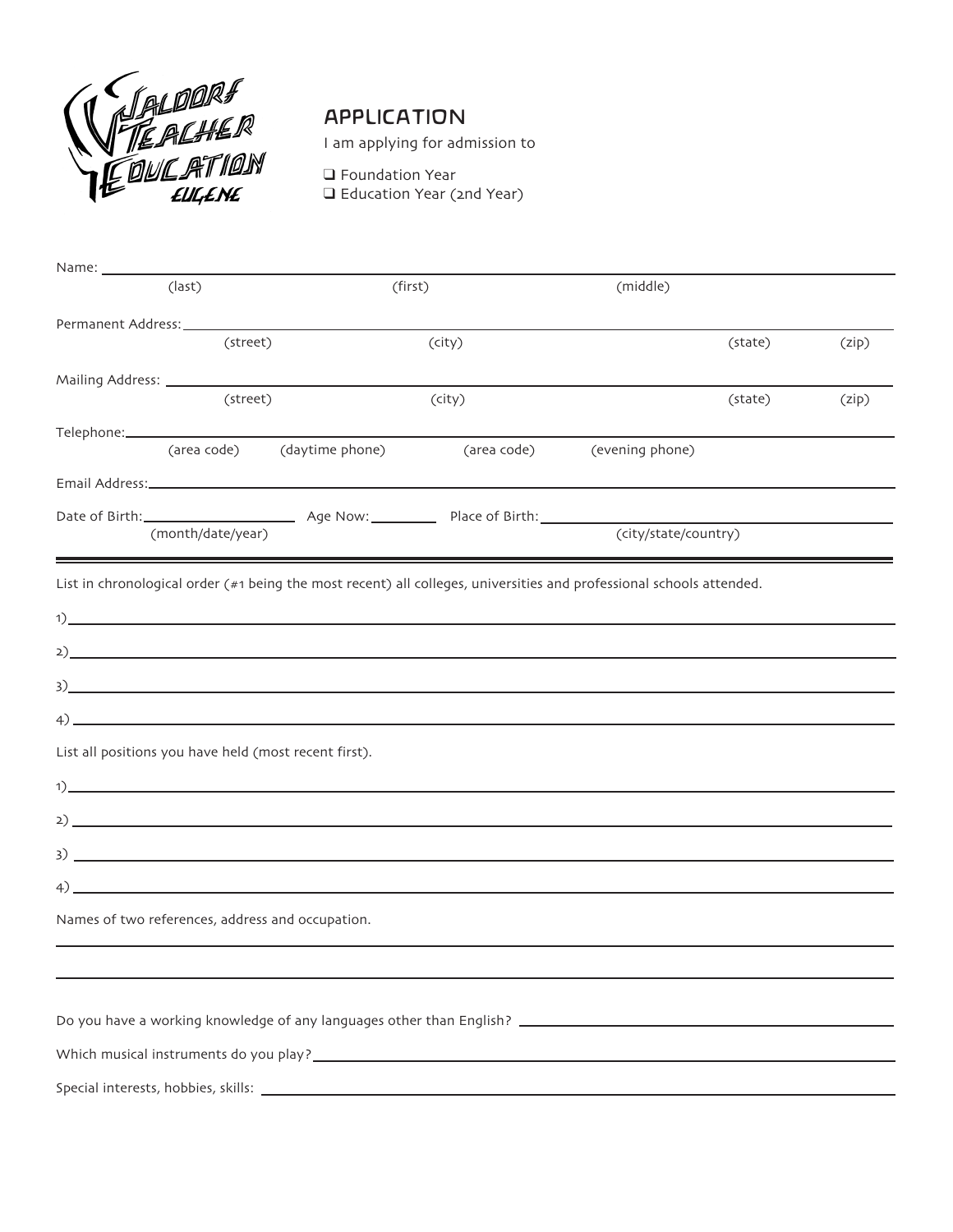

## APPLICATION

I am applying for admission to

❑ Foundation Year ❑ Education Year (2nd Year)

| Name: __________ | (last)                                                |                                                                                                                                                                                                                                                                                                                                                                                                                                                                                | (first)     | (middle)                                                                                                             |       |
|------------------|-------------------------------------------------------|--------------------------------------------------------------------------------------------------------------------------------------------------------------------------------------------------------------------------------------------------------------------------------------------------------------------------------------------------------------------------------------------------------------------------------------------------------------------------------|-------------|----------------------------------------------------------------------------------------------------------------------|-------|
|                  |                                                       |                                                                                                                                                                                                                                                                                                                                                                                                                                                                                |             |                                                                                                                      |       |
|                  | (street)                                              |                                                                                                                                                                                                                                                                                                                                                                                                                                                                                | (city)      | (state)                                                                                                              | (zip) |
|                  |                                                       |                                                                                                                                                                                                                                                                                                                                                                                                                                                                                |             |                                                                                                                      |       |
|                  | (street)                                              |                                                                                                                                                                                                                                                                                                                                                                                                                                                                                | (city)      | (state)                                                                                                              | (zip) |
|                  |                                                       |                                                                                                                                                                                                                                                                                                                                                                                                                                                                                |             |                                                                                                                      |       |
|                  |                                                       | (area code) (daytime phone)                                                                                                                                                                                                                                                                                                                                                                                                                                                    | (area code) | (evening phone)                                                                                                      |       |
|                  |                                                       |                                                                                                                                                                                                                                                                                                                                                                                                                                                                                |             |                                                                                                                      |       |
|                  | (month/date/year)                                     |                                                                                                                                                                                                                                                                                                                                                                                                                                                                                |             | (city/state/country)                                                                                                 |       |
|                  |                                                       |                                                                                                                                                                                                                                                                                                                                                                                                                                                                                |             |                                                                                                                      |       |
|                  |                                                       |                                                                                                                                                                                                                                                                                                                                                                                                                                                                                |             | List in chronological order (#1 being the most recent) all colleges, universities and professional schools attended. |       |
|                  |                                                       |                                                                                                                                                                                                                                                                                                                                                                                                                                                                                |             |                                                                                                                      |       |
|                  |                                                       |                                                                                                                                                                                                                                                                                                                                                                                                                                                                                |             |                                                                                                                      |       |
|                  |                                                       |                                                                                                                                                                                                                                                                                                                                                                                                                                                                                |             |                                                                                                                      |       |
|                  |                                                       | $\mathbf{3)}$ $\overline{\phantom{a}}$ $\overline{\phantom{a}}$ $\overline{\phantom{a}}$ $\overline{\phantom{a}}$ $\overline{\phantom{a}}$ $\overline{\phantom{a}}$ $\overline{\phantom{a}}$ $\overline{\phantom{a}}$ $\overline{\phantom{a}}$ $\overline{\phantom{a}}$ $\overline{\phantom{a}}$ $\overline{\phantom{a}}$ $\overline{\phantom{a}}$ $\overline{\phantom{a}}$ $\overline{\phantom{a}}$ $\overline{\phantom{a}}$ $\overline{\phantom{a}}$ $\overline{\phantom{$   |             |                                                                                                                      |       |
|                  |                                                       | $\left(4\right)$ and $\left(1\right)$ and $\left(1\right)$ and $\left(1\right)$ and $\left(1\right)$ and $\left(1\right)$ and $\left(1\right)$ and $\left(1\right)$ and $\left(1\right)$ and $\left(1\right)$ and $\left(1\right)$ and $\left(1\right)$ and $\left(1\right)$ and $\left(1\right)$ and $\left(1\right)$ and $\left(1\right)$ a                                                                                                                                  |             |                                                                                                                      |       |
|                  | List all positions you have held (most recent first). |                                                                                                                                                                                                                                                                                                                                                                                                                                                                                |             |                                                                                                                      |       |
|                  |                                                       |                                                                                                                                                                                                                                                                                                                                                                                                                                                                                |             |                                                                                                                      |       |
|                  |                                                       |                                                                                                                                                                                                                                                                                                                                                                                                                                                                                |             |                                                                                                                      |       |
|                  |                                                       | $\overline{3)}$ $\overline{\phantom{a}}$ $\overline{\phantom{a}}$ $\overline{\phantom{a}}$ $\overline{\phantom{a}}$ $\overline{\phantom{a}}$ $\overline{\phantom{a}}$ $\overline{\phantom{a}}$ $\overline{\phantom{a}}$ $\overline{\phantom{a}}$ $\overline{\phantom{a}}$ $\overline{\phantom{a}}$ $\overline{\phantom{a}}$ $\overline{\phantom{a}}$ $\overline{\phantom{a}}$ $\overline{\phantom{a}}$ $\overline{\phantom{a}}$ $\overline{\phantom{a}}$ $\overline{\phantom{$ |             |                                                                                                                      |       |
|                  |                                                       | $\left(4\right)$                                                                                                                                                                                                                                                                                                                                                                                                                                                               |             |                                                                                                                      |       |
|                  | Names of two references, address and occupation.      |                                                                                                                                                                                                                                                                                                                                                                                                                                                                                |             |                                                                                                                      |       |
|                  |                                                       |                                                                                                                                                                                                                                                                                                                                                                                                                                                                                |             |                                                                                                                      |       |
|                  |                                                       |                                                                                                                                                                                                                                                                                                                                                                                                                                                                                |             |                                                                                                                      |       |
|                  |                                                       |                                                                                                                                                                                                                                                                                                                                                                                                                                                                                |             |                                                                                                                      |       |
|                  |                                                       |                                                                                                                                                                                                                                                                                                                                                                                                                                                                                |             |                                                                                                                      |       |
|                  |                                                       |                                                                                                                                                                                                                                                                                                                                                                                                                                                                                |             |                                                                                                                      |       |
|                  |                                                       |                                                                                                                                                                                                                                                                                                                                                                                                                                                                                |             |                                                                                                                      |       |